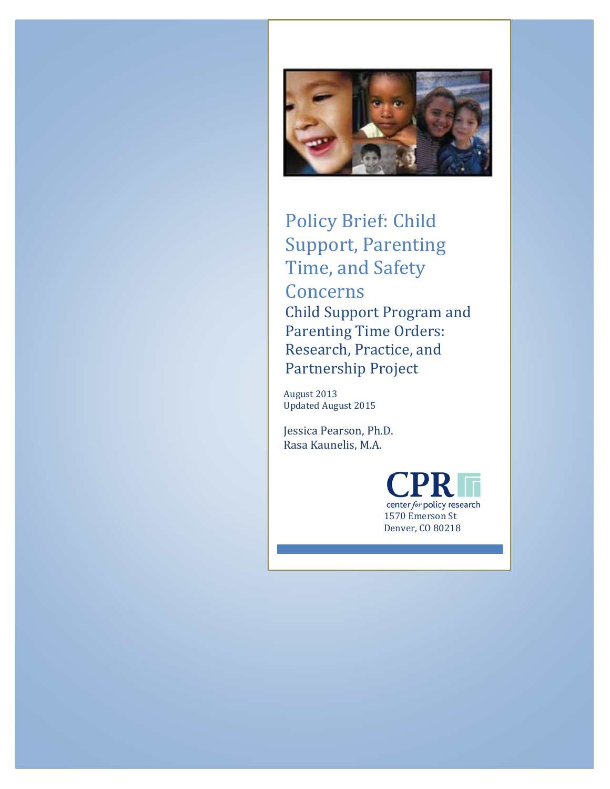

Policy Brief: Child Support, Parenting Time, and Safety **Concerns** Child Support Program and Parenting Time Orders: Research, Practice, and Partnership Project

August 2013 Updated August 2015

Jessica Pearson, Ph.D. Rasa Kaunelis, M.A.

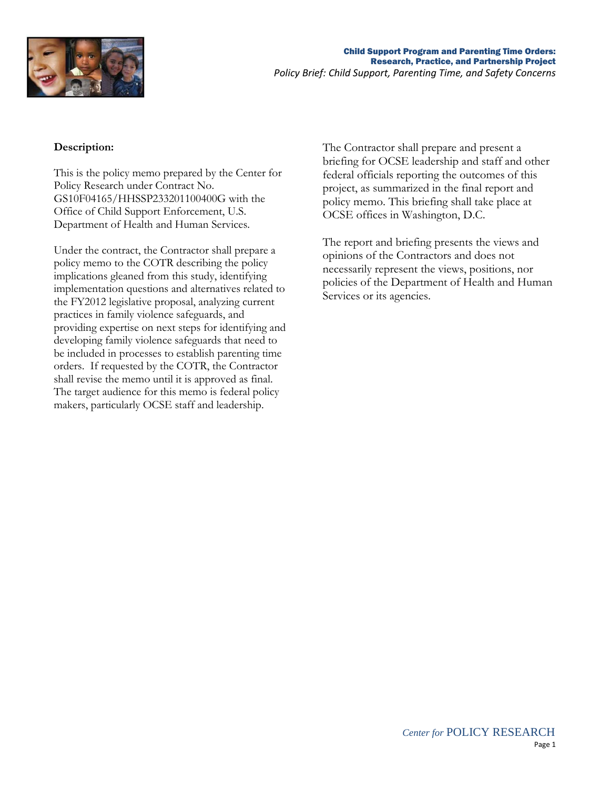

## **Description:**

This is the policy memo prepared by the Center for Policy Research under Contract No. GS10F04165/HHSSP233201100400G with the Office of Child Support Enforcement, U.S. Department of Health and Human Services.

Under the contract, the Contractor shall prepare a policy memo to the COTR describing the policy implications gleaned from this study, identifying implementation questions and alternatives related to the FY2012 legislative proposal, analyzing current practices in family violence safeguards, and providing expertise on next steps for identifying and developing family violence safeguards that need to be included in processes to establish parenting time orders. If requested by the COTR, the Contractor shall revise the memo until it is approved as final. The target audience for this memo is federal policy makers, particularly OCSE staff and leadership.

The Contractor shall prepare and present a briefing for OCSE leadership and staff and other federal officials reporting the outcomes of this project, as summarized in the final report and policy memo. This briefing shall take place at OCSE offices in Washington, D.C.

The report and briefing presents the views and opinions of the Contractors and does not necessarily represent the views, positions, nor policies of the Department of Health and Human Services or its agencies.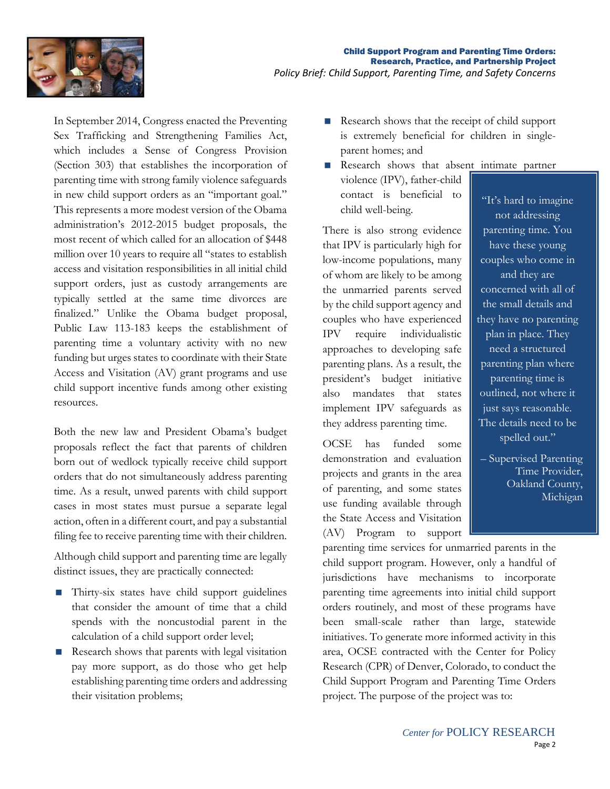

In September 2014, Congress enacted the Preventing Sex Trafficking and Strengthening Families Act, which includes a Sense of Congress Provision (Section 303) that establishes the incorporation of parenting time with strong family violence safeguards in new child support orders as an "important goal." This represents a more modest version of the Obama administration's 2012-2015 budget proposals, the most recent of which called for an allocation of \$448 million over 10 years to require all "states to establish access and visitation responsibilities in all initial child support orders, just as custody arrangements are typically settled at the same time divorces are finalized." Unlike the Obama budget proposal, Public Law 113-183 keeps the establishment of parenting time a voluntary activity with no new funding but urges states to coordinate with their State Access and Visitation (AV) grant programs and use child support incentive funds among other existing resources.

Both the new law and President Obama's budget proposals reflect the fact that parents of children born out of wedlock typically receive child support orders that do not simultaneously address parenting time. As a result, unwed parents with child support cases in most states must pursue a separate legal action, often in a different court, and pay a substantial filing fee to receive parenting time with their children.

Although child support and parenting time are legally distinct issues, they are practically connected:

- Thirty-six states have child support guidelines that consider the amount of time that a child spends with the noncustodial parent in the calculation of a child support order level;
- Research shows that parents with legal visitation pay more support, as do those who get help establishing parenting time orders and addressing their visitation problems;
- Research shows that the receipt of child support is extremely beneficial for children in singleparent homes; and
- Research shows that absent intimate partner violence (IPV), father-child contact is beneficial to child well-being.

There is also strong evidence that IPV is particularly high for low-income populations, many of whom are likely to be among the unmarried parents served by the child support agency and couples who have experienced IPV require individualistic approaches to developing safe parenting plans. As a result, the president's budget initiative also mandates that states implement IPV safeguards as they address parenting time.

OCSE has funded some demonstration and evaluation projects and grants in the area of parenting, and some states use funding available through the State Access and Visitation (AV) Program to support

"It's hard to imagine not addressing parenting time. You have these young couples who come in and they are concerned with all of the small details and they have no parenting plan in place. They need a structured parenting plan where parenting time is outlined, not where it just says reasonable. The details need to be spelled out."

– Supervised Parenting Time Provider, Oakland County, Michigan

parenting time services for unmarried parents in the child support program. However, only a handful of jurisdictions have mechanisms to incorporate parenting time agreements into initial child support orders routinely, and most of these programs have been small-scale rather than large, statewide initiatives. To generate more informed activity in this area, OCSE contracted with the Center for Policy Research (CPR) of Denver, Colorado, to conduct the Child Support Program and Parenting Time Orders project. The purpose of the project was to: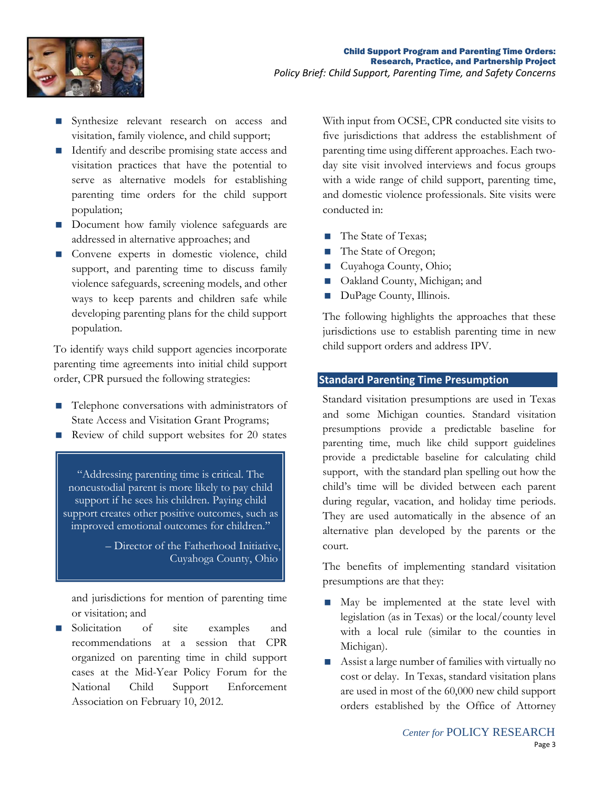

- Synthesize relevant research on access and visitation, family violence, and child support;
- Identify and describe promising state access and visitation practices that have the potential to serve as alternative models for establishing parenting time orders for the child support population;
- Document how family violence safeguards are addressed in alternative approaches; and
- Convene experts in domestic violence, child support, and parenting time to discuss family violence safeguards, screening models, and other ways to keep parents and children safe while developing parenting plans for the child support population.

To identify ways child support agencies incorporate parenting time agreements into initial child support order, CPR pursued the following strategies:

- Telephone conversations with administrators of State Access and Visitation Grant Programs;
- Review of child support websites for 20 states

"Addressing parenting time is critical. The noncustodial parent is more likely to pay child support if he sees his children. Paying child support creates other positive outcomes, such as improved emotional outcomes for children."

> – Director of the Fatherhood Initiative, Cuyahoga County, Ohio

and jurisdictions for mention of parenting time or visitation; and

Solicitation of site examples and recommendations at a session that CPR organized on parenting time in child support cases at the Mid-Year Policy Forum for the National Child Support Enforcement Association on February 10, 2012.

With input from OCSE, CPR conducted site visits to five jurisdictions that address the establishment of parenting time using different approaches. Each twoday site visit involved interviews and focus groups with a wide range of child support, parenting time, and domestic violence professionals. Site visits were conducted in:

- The State of Texas;
- The State of Oregon;
- Cuyahoga County, Ohio;
- Oakland County, Michigan; and
- DuPage County, Illinois.

The following highlights the approaches that these jurisdictions use to establish parenting time in new child support orders and address IPV.

# **Standard Parenting Time Presumption**

Standard visitation presumptions are used in Texas and some Michigan counties. Standard visitation presumptions provide a predictable baseline for parenting time, much like child support guidelines provide a predictable baseline for calculating child support, with the standard plan spelling out how the child's time will be divided between each parent during regular, vacation, and holiday time periods. They are used automatically in the absence of an alternative plan developed by the parents or the court.

The benefits of implementing standard visitation presumptions are that they:

- May be implemented at the state level with legislation (as in Texas) or the local/county level with a local rule (similar to the counties in Michigan).
- Assist a large number of families with virtually no cost or delay. In Texas, standard visitation plans are used in most of the 60,000 new child support orders established by the Office of Attorney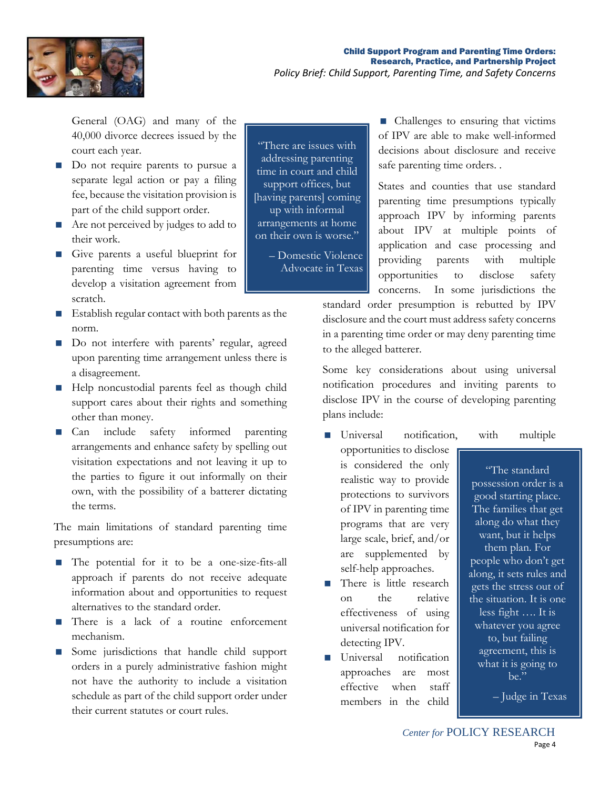

General (OAG) and many of the 40,000 divorce decrees issued by the court each year.

- Do not require parents to pursue a separate legal action or pay a filing fee, because the visitation provision is part of the child support order.
- Are not perceived by judges to add to their work.
- Give parents a useful blueprint for parenting time versus having to develop a visitation agreement from scratch.
- Establish regular contact with both parents as the norm.
- Do not interfere with parents' regular, agreed upon parenting time arrangement unless there is a disagreement.
- Help noncustodial parents feel as though child support cares about their rights and something other than money.
- Can include safety informed parenting arrangements and enhance safety by spelling out visitation expectations and not leaving it up to the parties to figure it out informally on their own, with the possibility of a batterer dictating the terms.

The main limitations of standard parenting time presumptions are:

- The potential for it to be a one-size-fits-all approach if parents do not receive adequate information about and opportunities to request alternatives to the standard order.
- There is a lack of a routine enforcement mechanism.
- Some jurisdictions that handle child support orders in a purely administrative fashion might not have the authority to include a visitation schedule as part of the child support order under their current statutes or court rules.

"There are issues with addressing parenting time in court and child support offices, but [having parents] coming up with informal arrangements at home on their own is worse."

– Domestic Violence Advocate in Texas

■ Challenges to ensuring that victims of IPV are able to make well-informed decisions about disclosure and receive safe parenting time orders. .

States and counties that use standard parenting time presumptions typically approach IPV by informing parents about IPV at multiple points of application and case processing and providing parents with multiple opportunities to disclose safety concerns. In some jurisdictions the

standard order presumption is rebutted by IPV disclosure and the court must address safety concerns in a parenting time order or may deny parenting time to the alleged batterer.

Some key considerations about using universal notification procedures and inviting parents to disclose IPV in the course of developing parenting plans include:

- **I** Universal notification, with multiple opportunities to disclose is considered the only realistic way to provide protections to survivors of IPV in parenting time programs that are very large scale, brief, and/or are supplemented by self-help approaches.
- $\blacksquare$  There is little research on the relative effectiveness of using universal notification for detecting IPV.
- **Universal** notification approaches are most effective when staff members in the child

"The standard possession order is a good starting place. The families that get along do what they want, but it helps them plan. For people who don't get along, it sets rules and gets the stress out of the situation. It is one less fight …. It is whatever you agree to, but failing agreement, this is what it is going to  $he$ "

– Judge in Texas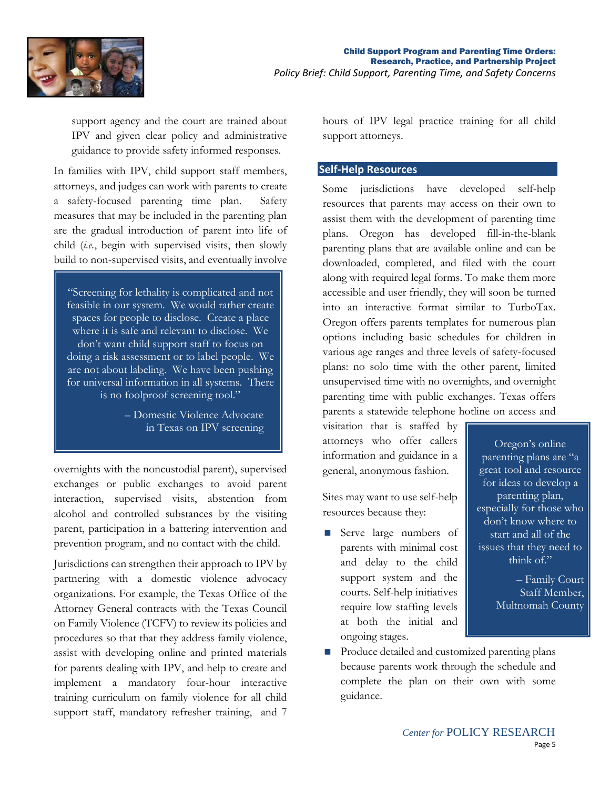

support agency and the court are trained about IPV and given clear policy and administrative guidance to provide safety informed responses.

In families with IPV, child support staff members, attorneys, and judges can work with parents to create a safety-focused parenting time plan. Safety measures that may be included in the parenting plan are the gradual introduction of parent into life of child (*i.e.*, begin with supervised visits, then slowly build to non-supervised visits, and eventually involve

"Screening for lethality is complicated and not feasible in our system. We would rather create spaces for people to disclose. Create a place where it is safe and relevant to disclose. We don't want child support staff to focus on doing a risk assessment or to label people. We are not about labeling. We have been pushing for universal information in all systems. There is no foolproof screening tool."

> – Domestic Violence Advocate in Texas on IPV screening

overnights with the noncustodial parent), supervised exchanges or public exchanges to avoid parent interaction, supervised visits, abstention from alcohol and controlled substances by the visiting parent, participation in a battering intervention and prevention program, and no contact with the child.

Jurisdictions can strengthen their approach to IPV by partnering with a domestic violence advocacy organizations. For example, the Texas Office of the Attorney General contracts with the Texas Council on Family Violence (TCFV) to review its policies and procedures so that that they address family violence, assist with developing online and printed materials for parents dealing with IPV, and help to create and implement a mandatory four-hour interactive training curriculum on family violence for all child support staff, mandatory refresher training, and 7

hours of IPV legal practice training for all child support attorneys.

### **Self-Help Resources**

Some jurisdictions have developed self-help resources that parents may access on their own to assist them with the development of parenting time plans. Oregon has developed fill-in-the-blank parenting plans that are available online and can be downloaded, completed, and filed with the court along with required legal forms. To make them more accessible and user friendly, they will soon be turned into an interactive format similar to TurboTax. Oregon offers parents templates for numerous plan options including basic schedules for children in various age ranges and three levels of safety-focused plans: no solo time with the other parent, limited unsupervised time with no overnights, and overnight parenting time with public exchanges. Texas offers parents a statewide telephone hotline on access and

visitation that is staffed by attorneys who offer callers information and guidance in a general, anonymous fashion.

Sites may want to use self-help resources because they:

Serve large numbers of parents with minimal cost and delay to the child support system and the courts. Self-help initiatives require low staffing levels at both the initial and ongoing stages.

Oregon's online parenting plans are "a great tool and resource for ideas to develop a parenting plan, especially for those who don't know where to start and all of the issues that they need to think of."

> – Family Court Staff Member, Multnomah County

 Produce detailed and customized parenting plans because parents work through the schedule and complete the plan on their own with some guidance.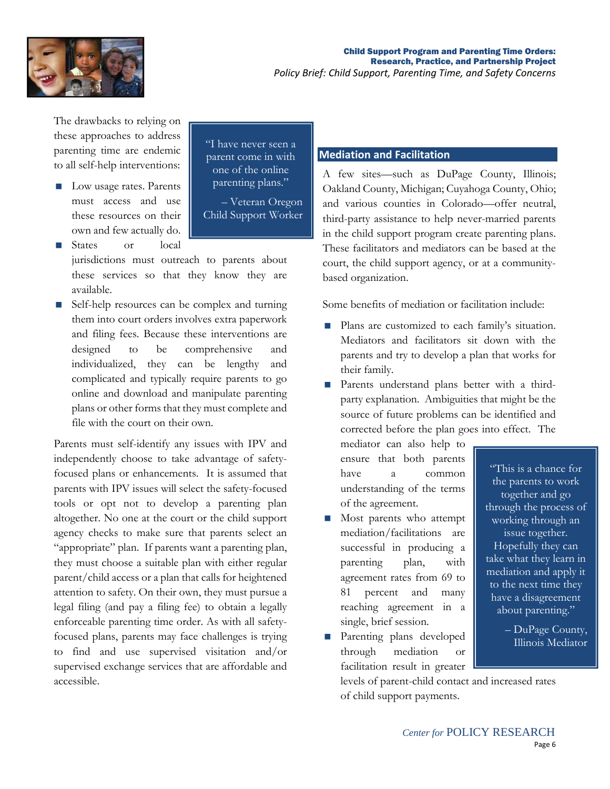

The drawbacks to relying on these approaches to address parenting time are endemic to all self-help interventions:

- **Low usage rates. Parents** must access and use these resources on their own and few actually do.
- States or local

jurisdictions must outreach to parents about these services so that they know they are available.

■ Self-help resources can be complex and turning them into court orders involves extra paperwork and filing fees. Because these interventions are designed to be comprehensive and individualized, they can be lengthy and complicated and typically require parents to go online and download and manipulate parenting plans or other forms that they must complete and file with the court on their own.

Parents must self-identify any issues with IPV and independently choose to take advantage of safetyfocused plans or enhancements. It is assumed that parents with IPV issues will select the safety-focused tools or opt not to develop a parenting plan altogether. No one at the court or the child support agency checks to make sure that parents select an "appropriate" plan. If parents want a parenting plan, they must choose a suitable plan with either regular parent/child access or a plan that calls for heightened attention to safety. On their own, they must pursue a legal filing (and pay a filing fee) to obtain a legally enforceable parenting time order. As with all safetyfocused plans, parents may face challenges is trying to find and use supervised visitation and/or supervised exchange services that are affordable and accessible.

"I have never seen a parent come in with one of the online parenting plans."

– Veteran Oregon Child Support Worker

# **Mediation and Facilitation**

A few sites—such as DuPage County, Illinois; Oakland County, Michigan; Cuyahoga County, Ohio; and various counties in Colorado—offer neutral, third-party assistance to help never-married parents in the child support program create parenting plans. These facilitators and mediators can be based at the court, the child support agency, or at a communitybased organization.

Some benefits of mediation or facilitation include:

- **Plans are customized to each family's situation.** Mediators and facilitators sit down with the parents and try to develop a plan that works for their family.
- **Parents** understand plans better with a thirdparty explanation. Ambiguities that might be the source of future problems can be identified and corrected before the plan goes into effect. The

mediator can also help to ensure that both parents have a common understanding of the terms of the agreement.

- **Most parents who attempt** mediation/facilitations are successful in producing a parenting plan, with agreement rates from 69 to 81 percent and many reaching agreement in a single, brief session.
- **Parenting plans developed** through mediation or facilitation result in greater

Illinois Mediator

"This is a chance for the parents to work together and go through the process of working through an issue together. Hopefully they can take what they learn in mediation and apply it to the next time they have a disagreement about parenting."

– DuPage County,

levels of parent-child contact and increased rates of child support payments.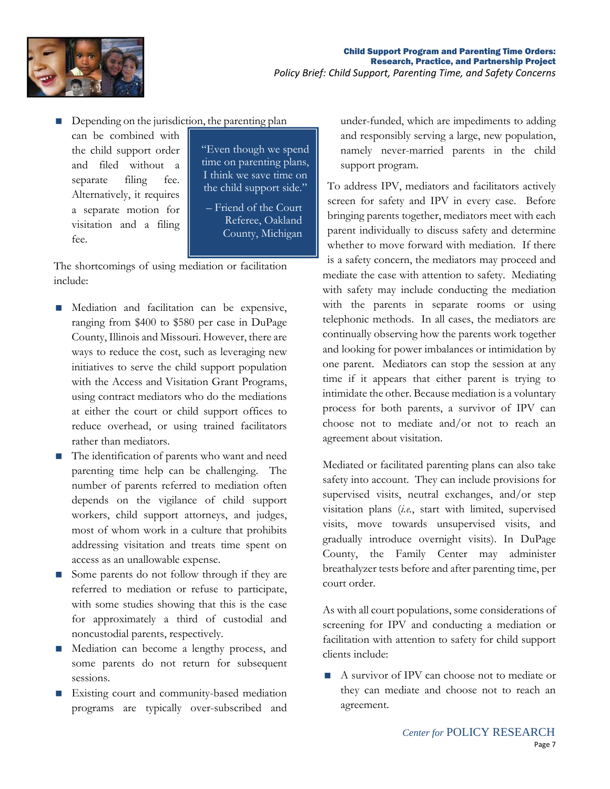

Depending on the jurisdiction, the parenting plan

can be combined with the child support order and filed without a separate filing fee. Alternatively, it requires a separate motion for visitation and a filing fee.

"Even though we spend time on parenting plans, I think we save time on the child support side."

– Friend of the Court Referee, Oakland County, Michigan

The shortcomings of using mediation or facilitation include:

- **Mediation** and facilitation can be expensive, ranging from \$400 to \$580 per case in DuPage County, Illinois and Missouri. However, there are ways to reduce the cost, such as leveraging new initiatives to serve the child support population with the Access and Visitation Grant Programs, using contract mediators who do the mediations at either the court or child support offices to reduce overhead, or using trained facilitators rather than mediators.
- The identification of parents who want and need parenting time help can be challenging. The number of parents referred to mediation often depends on the vigilance of child support workers, child support attorneys, and judges, most of whom work in a culture that prohibits addressing visitation and treats time spent on access as an unallowable expense.
- Some parents do not follow through if they are referred to mediation or refuse to participate, with some studies showing that this is the case for approximately a third of custodial and noncustodial parents, respectively.
- Mediation can become a lengthy process, and some parents do not return for subsequent sessions.
- **Existing court and community-based mediation** programs are typically over-subscribed and

under-funded, which are impediments to adding and responsibly serving a large, new population, namely never-married parents in the child support program.

To address IPV, mediators and facilitators actively screen for safety and IPV in every case. Before bringing parents together, mediators meet with each parent individually to discuss safety and determine whether to move forward with mediation. If there is a safety concern, the mediators may proceed and mediate the case with attention to safety. Mediating with safety may include conducting the mediation with the parents in separate rooms or using telephonic methods. In all cases, the mediators are continually observing how the parents work together and looking for power imbalances or intimidation by one parent. Mediators can stop the session at any time if it appears that either parent is trying to intimidate the other. Because mediation is a voluntary process for both parents, a survivor of IPV can choose not to mediate and/or not to reach an agreement about visitation.

Mediated or facilitated parenting plans can also take safety into account. They can include provisions for supervised visits, neutral exchanges, and/or step visitation plans (*i.e.*, start with limited, supervised visits, move towards unsupervised visits, and gradually introduce overnight visits). In DuPage County, the Family Center may administer breathalyzer tests before and after parenting time, per court order.

As with all court populations, some considerations of screening for IPV and conducting a mediation or facilitation with attention to safety for child support clients include:

A survivor of IPV can choose not to mediate or they can mediate and choose not to reach an agreement.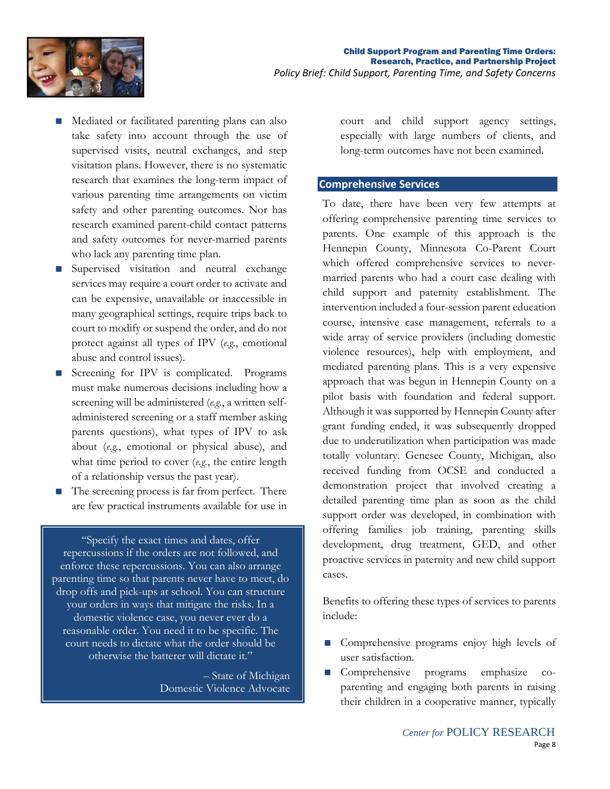

- Mediated or facilitated parenting plans can also take safety into account through the use of supervised visits, neutral exchanges, and step visitation plans. However, there is no systematic research that examines the long-term impact of various parenting time arrangements on victim safety and other parenting outcomes. Nor has research examined parent-child contact patterns and safety outcomes for never-married parents who lack any parenting time plan.
- Supervised visitation and neutral exchange services may require a court order to activate and can be expensive, unavailable or inaccessible in many geographical settings, require trips back to court to modify or suspend the order, and do not protect against all types of IPV (*e.g.*, emotional abuse and control issues).
- Screening for IPV is complicated. Programs must make numerous decisions including how a screening will be administered (*e.g.*, a written selfadministered screening or a staff member asking parents questions), what types of IPV to ask about (*e.g.*, emotional or physical abuse), and what time period to cover (*e.g.*, the entire length of a relationship versus the past year).
- $\blacksquare$  The screening process is far from perfect. There are few practical instruments available for use in

"Specify the exact times and dates, offer repercussions if the orders are not followed, and enforce these repercussions. You can also arrange parenting time so that parents never have to meet, do drop offs and pick-ups at school. You can structure your orders in ways that mitigate the risks. In a domestic violence case, you never ever do a reasonable order. You need it to be specific. The court needs to dictate what the order should be otherwise the batterer will dictate it."

> – State of Michigan Domestic Violence Advocate

court and child support agency settings, especially with large numbers of clients, and long-term outcomes have not been examined.

#### **Comprehensive Services**

To date, there have been very few attempts at offering comprehensive parenting time services to parents. One example of this approach is the Hennepin County, Minnesota Co-Parent Court which offered comprehensive services to nevermarried parents who had a court case dealing with child support and paternity establishment. The intervention included a four-session parent education course, intensive case management, referrals to a wide array of service providers (including domestic violence resources), help with employment, and mediated parenting plans. This is a very expensive approach that was begun in Hennepin County on a pilot basis with foundation and federal support. Although it was supported by Hennepin County after grant funding ended, it was subsequently dropped due to underutilization when participation was made totally voluntary. Genesee County, Michigan, also received funding from OCSE and conducted a demonstration project that involved creating a detailed parenting time plan as soon as the child support order was developed, in combination with offering families job training, parenting skills development, drug treatment, GED, and other proactive services in paternity and new child support cases.

Benefits to offering these types of services to parents include:

- **Comprehensive programs enjoy high levels of** user satisfaction.
- Comprehensive programs emphasize coparenting and engaging both parents in raising their children in a cooperative manner, typically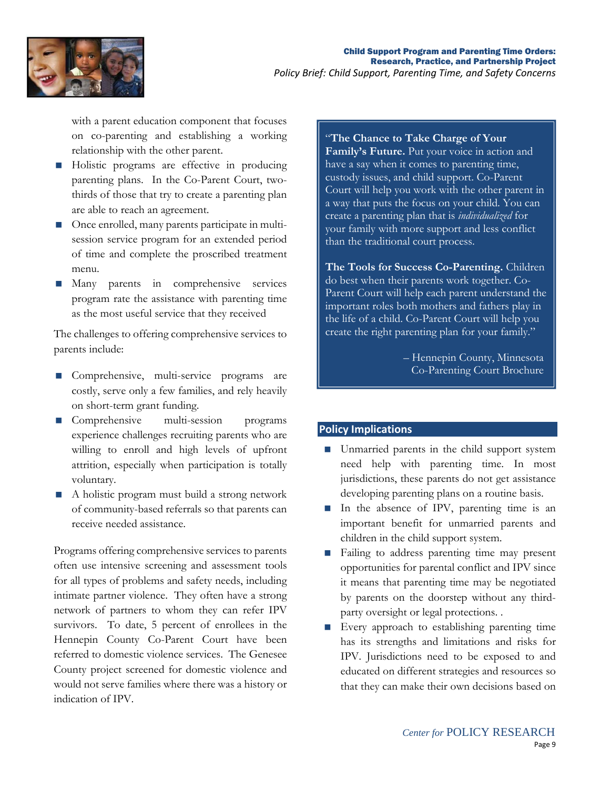

with a parent education component that focuses on co-parenting and establishing a working relationship with the other parent.

- Holistic programs are effective in producing parenting plans. In the Co-Parent Court, twothirds of those that try to create a parenting plan are able to reach an agreement.
- Once enrolled, many parents participate in multisession service program for an extended period of time and complete the proscribed treatment menu.
- Many parents in comprehensive services program rate the assistance with parenting time as the most useful service that they received

The challenges to offering comprehensive services to parents include:

- Comprehensive, multi-service programs are costly, serve only a few families, and rely heavily on short-term grant funding.
- **Comprehensive multi-session programs** experience challenges recruiting parents who are willing to enroll and high levels of upfront attrition, especially when participation is totally voluntary.
- A holistic program must build a strong network of community-based referrals so that parents can receive needed assistance.

Programs offering comprehensive services to parents often use intensive screening and assessment tools for all types of problems and safety needs, including intimate partner violence. They often have a strong network of partners to whom they can refer IPV survivors. To date, 5 percent of enrollees in the Hennepin County Co-Parent Court have been referred to domestic violence services. The Genesee County project screened for domestic violence and would not serve families where there was a history or indication of IPV.

## "**The Chance to Take Charge of Your**

**Family's Future.** Put your voice in action and have a say when it comes to parenting time, custody issues, and child support. Co-Parent Court will help you work with the other parent in a way that puts the focus on your child. You can create a parenting plan that is *individualized* for your family with more support and less conflict than the traditional court process.

**The Tools for Success Co-Parenting.** Children do best when their parents work together. Co-Parent Court will help each parent understand the important roles both mothers and fathers play in the life of a child. Co-Parent Court will help you create the right parenting plan for your family."

> – Hennepin County, Minnesota Co-Parenting Court Brochure

## **Policy Implications**

- Unmarried parents in the child support system need help with parenting time. In most jurisdictions, these parents do not get assistance developing parenting plans on a routine basis.
- In the absence of IPV, parenting time is an important benefit for unmarried parents and children in the child support system.
- **Failing to address parenting time may present** opportunities for parental conflict and IPV since it means that parenting time may be negotiated by parents on the doorstep without any thirdparty oversight or legal protections. .
- **Every approach to establishing parenting time** has its strengths and limitations and risks for IPV. Jurisdictions need to be exposed to and educated on different strategies and resources so that they can make their own decisions based on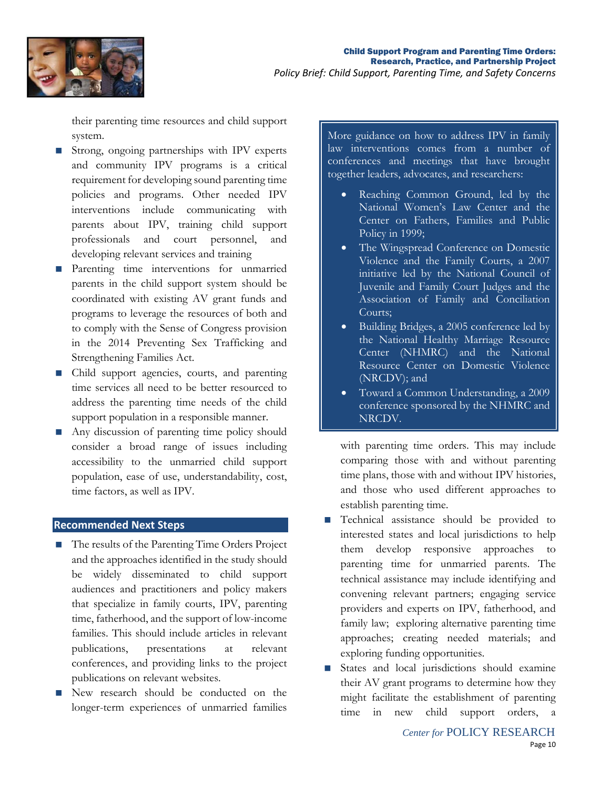

their parenting time resources and child support system.

- Strong, ongoing partnerships with IPV experts and community IPV programs is a critical requirement for developing sound parenting time policies and programs. Other needed IPV interventions include communicating with parents about IPV, training child support professionals and court personnel, and developing relevant services and training
- **Parenting time interventions for unmarried** parents in the child support system should be coordinated with existing AV grant funds and programs to leverage the resources of both and to comply with the Sense of Congress provision in the 2014 Preventing Sex Trafficking and Strengthening Families Act.
- Child support agencies, courts, and parenting time services all need to be better resourced to address the parenting time needs of the child support population in a responsible manner.
- Any discussion of parenting time policy should consider a broad range of issues including accessibility to the unmarried child support population, ease of use, understandability, cost, time factors, as well as IPV.

### **Recommended Next Steps**

- The results of the Parenting Time Orders Project and the approaches identified in the study should be widely disseminated to child support audiences and practitioners and policy makers that specialize in family courts, IPV, parenting time, fatherhood, and the support of low-income families. This should include articles in relevant publications, presentations at relevant conferences, and providing links to the project publications on relevant websites.
- New research should be conducted on the longer-term experiences of unmarried families

More guidance on how to address IPV in family law interventions comes from a number of conferences and meetings that have brought together leaders, advocates, and researchers:

- Reaching Common Ground, led by the National Women's Law Center and the Center on Fathers, Families and Public Policy in 1999;
- The Wingspread Conference on Domestic Violence and the Family Courts, a 2007 initiative led by the National Council of Juvenile and Family Court Judges and the Association of Family and Conciliation Courts;
- Building Bridges, a 2005 conference led by the National Healthy Marriage Resource Center (NHMRC) and the National Resource Center on Domestic Violence (NRCDV); and
- Toward a Common Understanding, a 2009 conference sponsored by the NHMRC and NRCDV.

with parenting time orders. This may include comparing those with and without parenting time plans, those with and without IPV histories, and those who used different approaches to establish parenting time.

- **Technical assistance should be provided to** interested states and local jurisdictions to help them develop responsive approaches to parenting time for unmarried parents. The technical assistance may include identifying and convening relevant partners; engaging service providers and experts on IPV, fatherhood, and family law; exploring alternative parenting time approaches; creating needed materials; and exploring funding opportunities.
- States and local jurisdictions should examine their AV grant programs to determine how they might facilitate the establishment of parenting time in new child support orders, a